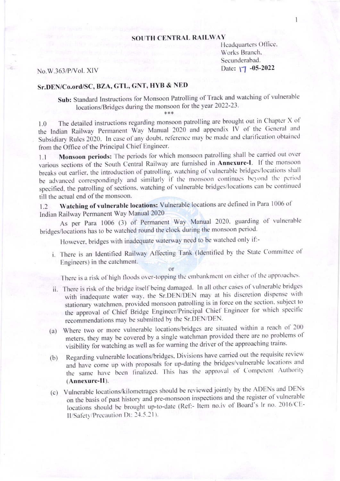## **SOUTH CENTRAL RAILWAY**

Headquarters Office. Works Branch, Secunderabad. Date:  $\sqrt{7}$  -05-2022

## No.W.363/P/Vol. XIV

## Sr.DEN/Co.ord/SC, BZA, GTL, GNT, HYB & NED

Sub: Standard Instructions for Monsoon Patrolling of Track and watching of vulnerable locations/Bridges during the monsoon for the year 2022-23.

The detailed instructions regarding monsoon patrolling are brought out in Chapter X of 1.0 the Indian Railway Permanent Way Manual 2020 and appendix IV of the General and Subsidiary Rules 2020. In case of any doubt, reference may be made and clarification obtained from the Office of the Principal Chief Engineer.

Monsoon periods: The periods for which monsoon patrolling shall be carried out over  $1.1$ various sections of the South Central Railway are furnished in Annexure-I. If the monsoon breaks out earlier, the introduction of patrolling, watching of vulnerable bridges/locations shall be advanced correspondingly and similarly if the monsoon continues beyond the period specified, the patrolling of sections, watching of vulnerable bridges/locations can be continued till the actual end of the monsoon.

Watching of vulnerable locations: Vulnerable locations are defined in Para 1006 of  $12$ Indian Railway Permanent Way Manual 2020

As per Para 1006 (3) of Permanent Way Manual 2020, guarding of vulnerable bridges/locations has to be watched round the clock during the monsoon period.

However, bridges with inadequate waterway need to be watched only if:-

i. There is an Identified Railway Affecting Tank (Identified by the State Committee of Engineers) in the catchment.

 $\alpha$ r

There is a risk of high floods over-topping the embankment on either of the approaches.

- ii. There is risk of the bridge itself being damaged. In all other cases of vulnerable bridges with inadequate water way, the Sr.DEN/DEN may at his discretion dispense with stationary watchmen, provided monsoon patrolling is in force on the section, subject to the approval of Chief Bridge Engineer/Principal Chief Engineer for which specific recommendations may be submitted by the Sr.DEN/DEN.
- (a) Where two or more vulnerable locations/bridges are situated within a reach of 200 meters, they may be covered by a single watchman provided there are no problems of visibility for watching as well as for warning the driver of the approaching trains.
- Regarding vulnerable locations/bridges, Divisions have carried out the requisite review  $(b)$ and have come up with proposals for up-dating the bridges/vulnerable locations and the same have been finalized. This has the approval of Competent Authority (Annexure-II).
- (c) Vulnerable locations/kilometrages should be reviewed jointly by the ADENs and DENs on the basis of past history and pre-monsoon inspections and the register of vulnerable locations should be brought up-to-date (Ref:- Item no.iv of Board's lr no. 2016/CE-II/Safety/Precaution Dt: 24.5.21).